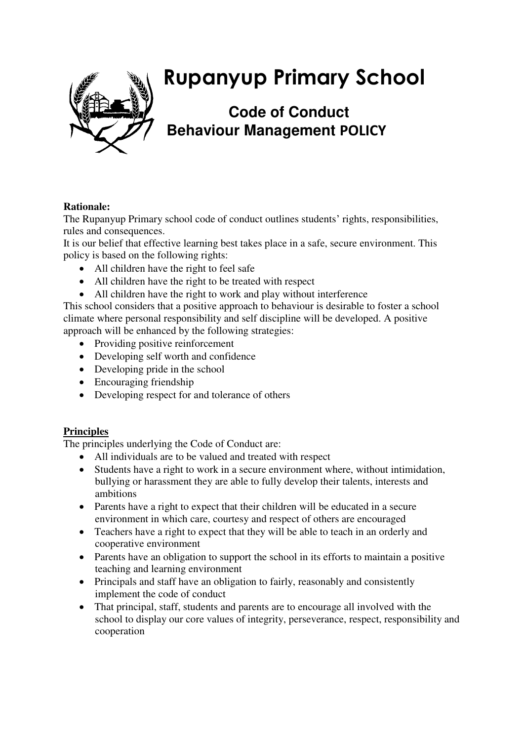

# **Rupanyup Primary School**

## **Code of Conduct Behaviour Management POLICY**

### **Rationale:**

The Rupanyup Primary school code of conduct outlines students' rights, responsibilities, rules and consequences.

It is our belief that effective learning best takes place in a safe, secure environment. This policy is based on the following rights:

- All children have the right to feel safe
- All children have the right to be treated with respect
- All children have the right to work and play without interference

This school considers that a positive approach to behaviour is desirable to foster a school climate where personal responsibility and self discipline will be developed. A positive approach will be enhanced by the following strategies:

- Providing positive reinforcement
- Developing self worth and confidence
- Developing pride in the school
- Encouraging friendship
- Developing respect for and tolerance of others

#### **Principles**

The principles underlying the Code of Conduct are:

- All individuals are to be valued and treated with respect
- Students have a right to work in a secure environment where, without intimidation, bullying or harassment they are able to fully develop their talents, interests and ambitions
- Parents have a right to expect that their children will be educated in a secure environment in which care, courtesy and respect of others are encouraged
- Teachers have a right to expect that they will be able to teach in an orderly and cooperative environment
- Parents have an obligation to support the school in its efforts to maintain a positive teaching and learning environment
- Principals and staff have an obligation to fairly, reasonably and consistently implement the code of conduct
- That principal, staff, students and parents are to encourage all involved with the school to display our core values of integrity, perseverance, respect, responsibility and cooperation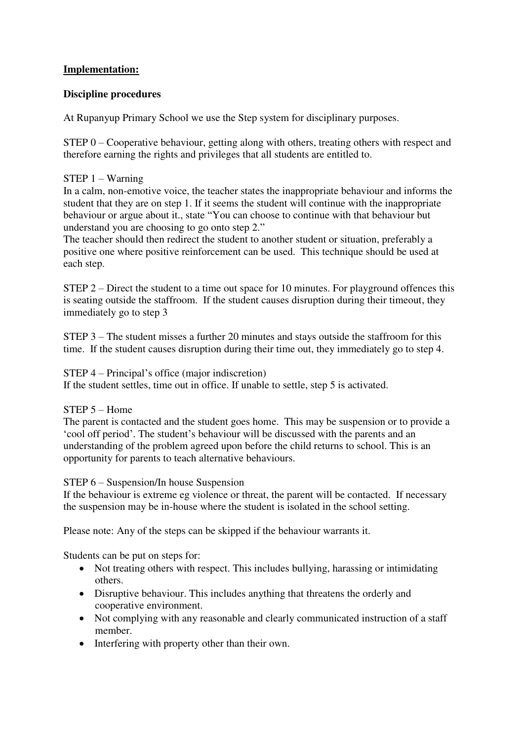#### **Implementation:**

#### **Discipline procedures**

At Rupanyup Primary School we use the Step system for disciplinary purposes.

STEP 0 – Cooperative behaviour, getting along with others, treating others with respect and therefore earning the rights and privileges that all students are entitled to.

#### STEP 1 – Warning

In a calm, non-emotive voice, the teacher states the inappropriate behaviour and informs the student that they are on step 1. If it seems the student will continue with the inappropriate behaviour or argue about it., state "You can choose to continue with that behaviour but understand you are choosing to go onto step 2."

The teacher should then redirect the student to another student or situation, preferably a positive one where positive reinforcement can be used. This technique should be used at each step.

STEP 2 – Direct the student to a time out space for 10 minutes. For playground offences this is seating outside the staffroom. If the student causes disruption during their timeout, they immediately go to step 3

STEP 3 – The student misses a further 20 minutes and stays outside the staffroom for this time. If the student causes disruption during their time out, they immediately go to step 4.

#### STEP 4 – Principal's office (major indiscretion)

If the student settles, time out in office. If unable to settle, step 5 is activated.

#### STEP 5 – Home

The parent is contacted and the student goes home. This may be suspension or to provide a 'cool off period'. The student's behaviour will be discussed with the parents and an understanding of the problem agreed upon before the child returns to school. This is an opportunity for parents to teach alternative behaviours.

#### STEP 6 – Suspension/In house Suspension

If the behaviour is extreme eg violence or threat, the parent will be contacted. If necessary the suspension may be in-house where the student is isolated in the school setting.

Please note: Any of the steps can be skipped if the behaviour warrants it.

Students can be put on steps for:

- Not treating others with respect. This includes bullying, harassing or intimidating others.
- Disruptive behaviour. This includes anything that threatens the orderly and cooperative environment.
- Not complying with any reasonable and clearly communicated instruction of a staff member.
- Interfering with property other than their own.